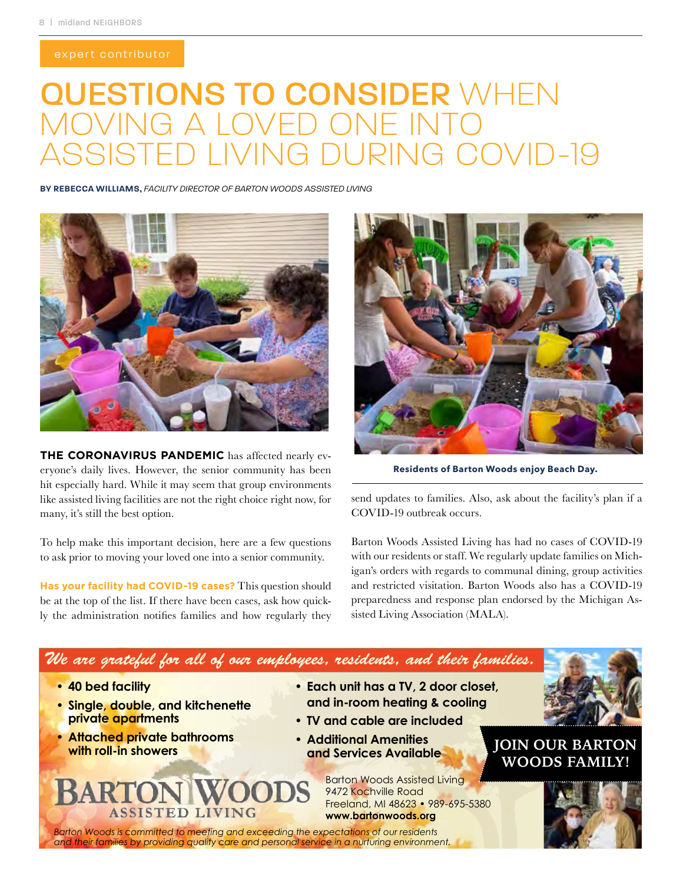## QUESTIONS TO CONSIDER WHEN **G A LOVED ONE INTO VG DURING COVID-19**

**BY REBECCA WILLIAMS,** *FACILITY DIRECTOR OF BARTON WOODS ASSISTED LIVING*



**THE CORONAVIRUS PANDEMIC** has affected nearly everyone's daily lives. However, the senior community has been hit especially hard. While it may seem that group environments like assisted living facilities are not the right choice right now, for many, it's still the best option.

To help make this important decision, here are a few questions to ask prior to moving your loved one into a senior community.

**Has your facility had COVID-19 cases?** This question should be at the top of the list. If there have been cases, ask how quickly the administration notifies families and how regularly they



**Residents of Barton Woods enjoy Beach Day.**

send updates to families. Also, ask about the facility's plan if a COVID-19 outbreak occurs.

Barton Woods Assisted Living has had no cases of COVID-19 with our residents or staff. We regularly update families on Michigan's orders with regards to communal dining, group activities and restricted visitation. Barton Woods also has a COVID-19 preparedness and response plan endorsed by the Michigan Assisted Living Association (MALA).